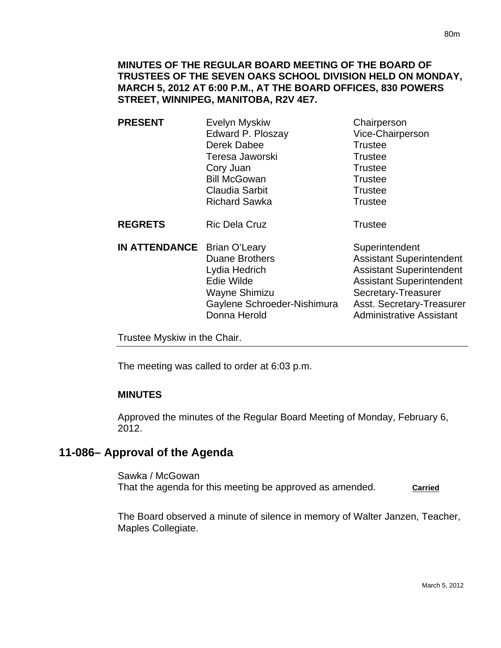| <b>PRESENT</b>                     | Evelyn Myskiw<br>Edward P. Ploszay<br>Derek Dabee<br>Teresa Jaworski<br>Cory Juan<br><b>Bill McGowan</b><br>Claudia Sarbit<br><b>Richard Sawka</b> | Chairperson<br>Vice-Chairperson<br><b>Trustee</b><br><b>Trustee</b><br><b>Trustee</b><br><b>Trustee</b><br><b>Trustee</b><br><b>Trustee</b> |
|------------------------------------|----------------------------------------------------------------------------------------------------------------------------------------------------|---------------------------------------------------------------------------------------------------------------------------------------------|
| <b>REGRETS</b>                     | <b>Ric Dela Cruz</b>                                                                                                                               | <b>Trustee</b>                                                                                                                              |
| <b>IN ATTENDANCE</b> Brian O'Leary | <b>Duane Brothers</b><br>Lydia Hedrich<br>$L = \frac{1}{2}$                                                                                        | Superintendent<br><b>Assistant Superintendent</b><br><b>Assistant Superintendent</b><br>Appintont Cunomintondont                            |

Edie Wilde **Assistant Superintendent** Wayne Shimizu Secretary-Treasurer Gaylene Schroeder-Nishimura Asst. Secretary-Treasurer Donna Herold **Administrative Assistant** 

Trustee Myskiw in the Chair.

The meeting was called to order at 6:03 p.m.

## **MINUTES**

Approved the minutes of the Regular Board Meeting of Monday, February 6, 2012.

# **11-086– Approval of the Agenda**

Sawka / McGowan That the agenda for this meeting be approved as amended. **Carried**

The Board observed a minute of silence in memory of Walter Janzen, Teacher, Maples Collegiate.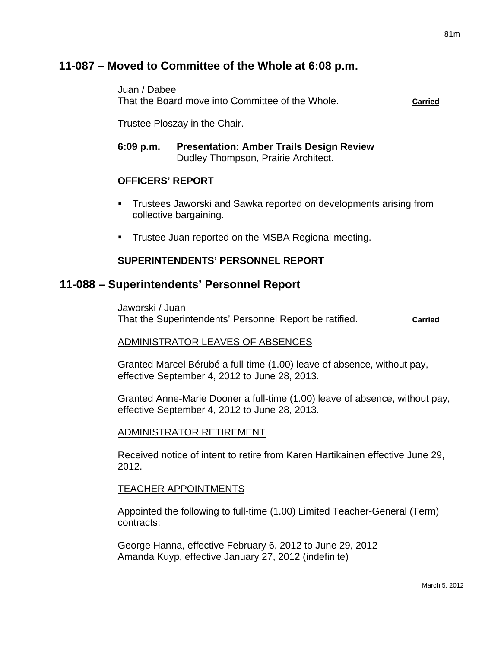# **11-087 – Moved to Committee of the Whole at 6:08 p.m.**

Juan / Dabee

That the Board move into Committee of the Whole. **Carried**

Trustee Ploszay in the Chair.

**6:09 p.m. Presentation: Amber Trails Design Review**  Dudley Thompson, Prairie Architect.

### **OFFICERS' REPORT**

- Trustees Jaworski and Sawka reported on developments arising from collective bargaining.
- **Trustee Juan reported on the MSBA Regional meeting.**

### **SUPERINTENDENTS' PERSONNEL REPORT**

## **11-088 – Superintendents' Personnel Report**

Jaworski / Juan That the Superintendents' Personnel Report be ratified. **Carried**

### ADMINISTRATOR LEAVES OF ABSENCES

Granted Marcel Bérubé a full-time (1.00) leave of absence, without pay, effective September 4, 2012 to June 28, 2013.

Granted Anne-Marie Dooner a full-time (1.00) leave of absence, without pay, effective September 4, 2012 to June 28, 2013.

#### ADMINISTRATOR RETIREMENT

Received notice of intent to retire from Karen Hartikainen effective June 29, 2012.

#### TEACHER APPOINTMENTS

Appointed the following to full-time (1.00) Limited Teacher-General (Term) contracts:

George Hanna, effective February 6, 2012 to June 29, 2012 Amanda Kuyp, effective January 27, 2012 (indefinite)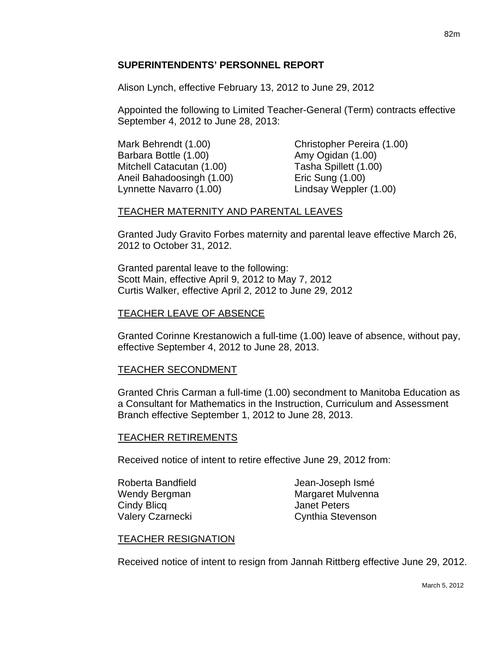### **SUPERINTENDENTS' PERSONNEL REPORT**

Alison Lynch, effective February 13, 2012 to June 29, 2012

Appointed the following to Limited Teacher-General (Term) contracts effective September 4, 2012 to June 28, 2013:

Mark Behrendt (1.00) Christopher Pereira (1.00) Barbara Bottle (1.00) Barbara Bottle (1.00) Mitchell Catacutan (1.00) Tasha Spillett (1.00) Aneil Bahadoosingh (1.00) Eric Sung (1.00) Lynnette Navarro (1.00) Lindsay Weppler (1.00)

### TEACHER MATERNITY AND PARENTAL LEAVES

Granted Judy Gravito Forbes maternity and parental leave effective March 26, 2012 to October 31, 2012.

Granted parental leave to the following: Scott Main, effective April 9, 2012 to May 7, 2012 Curtis Walker, effective April 2, 2012 to June 29, 2012

### TEACHER LEAVE OF ABSENCE

Granted Corinne Krestanowich a full-time (1.00) leave of absence, without pay, effective September 4, 2012 to June 28, 2013.

### TEACHER SECONDMENT

Granted Chris Carman a full-time (1.00) secondment to Manitoba Education as a Consultant for Mathematics in the Instruction, Curriculum and Assessment Branch effective September 1, 2012 to June 28, 2013.

### TEACHER RETIREMENTS

Received notice of intent to retire effective June 29, 2012 from:

Cindy Blicq **Cindy Blicq** 

Roberta Bandfield **Grandfield** Jean-Joseph Ismé Wendy Bergman Margaret Mulvenna Valery Czarnecki Cynthia Stevenson

### TEACHER RESIGNATION

Received notice of intent to resign from Jannah Rittberg effective June 29, 2012.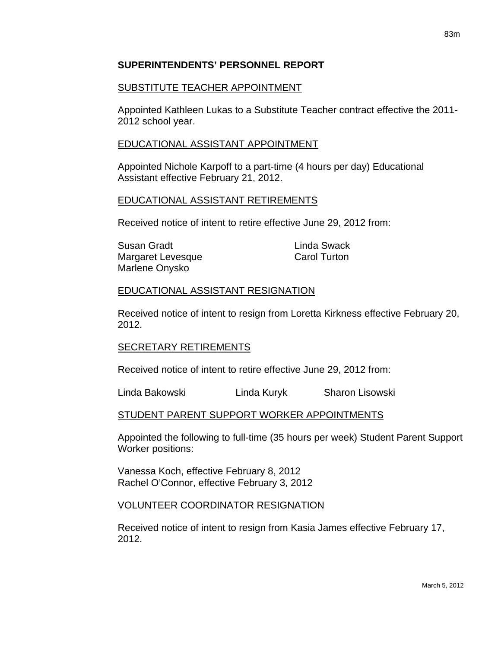### **SUPERINTENDENTS' PERSONNEL REPORT**

### SUBSTITUTE TEACHER APPOINTMENT

Appointed Kathleen Lukas to a Substitute Teacher contract effective the 2011- 2012 school year.

### EDUCATIONAL ASSISTANT APPOINTMENT

Appointed Nichole Karpoff to a part-time (4 hours per day) Educational Assistant effective February 21, 2012.

### EDUCATIONAL ASSISTANT RETIREMENTS

Received notice of intent to retire effective June 29, 2012 from:

| Susan Gradt       | Linda Swack         |
|-------------------|---------------------|
| Margaret Levesque | <b>Carol Turton</b> |
| Marlene Onysko    |                     |

### EDUCATIONAL ASSISTANT RESIGNATION

Received notice of intent to resign from Loretta Kirkness effective February 20, 2012.

### SECRETARY RETIREMENTS

Received notice of intent to retire effective June 29, 2012 from:

Linda Bakowski Linda Kuryk Sharon Lisowski

### STUDENT PARENT SUPPORT WORKER APPOINTMENTS

Appointed the following to full-time (35 hours per week) Student Parent Support Worker positions:

Vanessa Koch, effective February 8, 2012 Rachel O'Connor, effective February 3, 2012

### VOLUNTEER COORDINATOR RESIGNATION

Received notice of intent to resign from Kasia James effective February 17, 2012.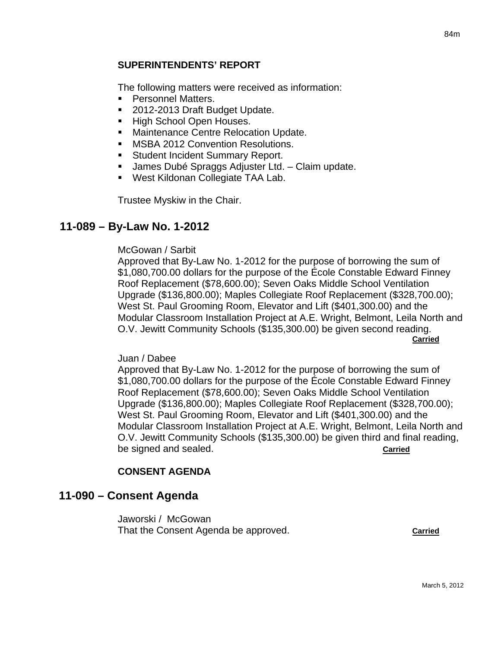#### **SUPERINTENDENTS' REPORT**

The following matters were received as information:

- **Personnel Matters.**
- 2012-2013 Draft Budget Update.
- High School Open Houses.
- **Maintenance Centre Relocation Update.**
- **MSBA 2012 Convention Resolutions.**
- **Student Incident Summary Report.**
- James Dubé Spraggs Adjuster Ltd. Claim update.
- West Kildonan Collegiate TAA Lab.

Trustee Myskiw in the Chair.

### **11-089 – By-Law No. 1-2012**

#### McGowan / Sarbit

Approved that By-Law No. 1-2012 for the purpose of borrowing the sum of \$1,080,700.00 dollars for the purpose of the École Constable Edward Finney Roof Replacement (\$78,600.00); Seven Oaks Middle School Ventilation Upgrade (\$136,800.00); Maples Collegiate Roof Replacement (\$328,700.00); West St. Paul Grooming Room, Elevator and Lift (\$401,300.00) and the Modular Classroom Installation Project at A.E. Wright, Belmont, Leila North and O.V. Jewitt Community Schools (\$135,300.00) be given second reading. **Carried** 

#### Juan / Dabee

Approved that By-Law No. 1-2012 for the purpose of borrowing the sum of \$1,080,700.00 dollars for the purpose of the École Constable Edward Finney Roof Replacement (\$78,600.00); Seven Oaks Middle School Ventilation Upgrade (\$136,800.00); Maples Collegiate Roof Replacement (\$328,700.00); West St. Paul Grooming Room, Elevator and Lift (\$401,300.00) and the Modular Classroom Installation Project at A.E. Wright, Belmont, Leila North and O.V. Jewitt Community Schools (\$135,300.00) be given third and final reading, be signed and sealed. **Carried**

### **CONSENT AGENDA**

### **11-090 – Consent Agenda**

Jaworski / McGowan That the Consent Agenda be approved. **Carried**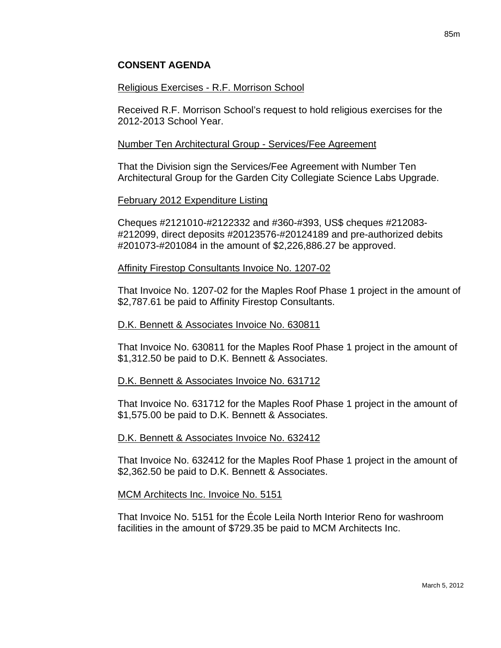### **CONSENT AGENDA**

#### Religious Exercises - R.F. Morrison School

Received R.F. Morrison School's request to hold religious exercises for the 2012-2013 School Year.

#### Number Ten Architectural Group - Services/Fee Agreement

That the Division sign the Services/Fee Agreement with Number Ten Architectural Group for the Garden City Collegiate Science Labs Upgrade.

#### February 2012 Expenditure Listing

Cheques #2121010-#2122332 and #360-#393, US\$ cheques #212083- #212099, direct deposits #20123576-#20124189 and pre-authorized debits #201073-#201084 in the amount of \$2,226,886.27 be approved.

#### Affinity Firestop Consultants Invoice No. 1207-02

That Invoice No. 1207-02 for the Maples Roof Phase 1 project in the amount of \$2,787.61 be paid to Affinity Firestop Consultants.

#### D.K. Bennett & Associates Invoice No. 630811

That Invoice No. 630811 for the Maples Roof Phase 1 project in the amount of \$1,312.50 be paid to D.K. Bennett & Associates.

#### D.K. Bennett & Associates Invoice No. 631712

That Invoice No. 631712 for the Maples Roof Phase 1 project in the amount of \$1,575.00 be paid to D.K. Bennett & Associates.

### D.K. Bennett & Associates Invoice No. 632412

That Invoice No. 632412 for the Maples Roof Phase 1 project in the amount of \$2,362.50 be paid to D.K. Bennett & Associates.

#### MCM Architects Inc. Invoice No. 5151

That Invoice No. 5151 for the École Leila North Interior Reno for washroom facilities in the amount of \$729.35 be paid to MCM Architects Inc.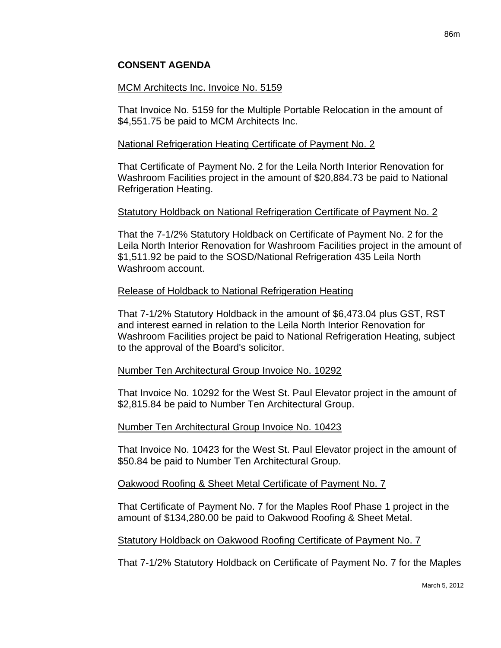## MCM Architects Inc. Invoice No. 5159

That Invoice No. 5159 for the Multiple Portable Relocation in the amount of \$4,551.75 be paid to MCM Architects Inc.

# National Refrigeration Heating Certificate of Payment No. 2

That Certificate of Payment No. 2 for the Leila North Interior Renovation for Washroom Facilities project in the amount of \$20,884.73 be paid to National Refrigeration Heating.

# Statutory Holdback on National Refrigeration Certificate of Payment No. 2

That the 7-1/2% Statutory Holdback on Certificate of Payment No. 2 for the Leila North Interior Renovation for Washroom Facilities project in the amount of \$1,511.92 be paid to the SOSD/National Refrigeration 435 Leila North Washroom account.

## Release of Holdback to National Refrigeration Heating

That 7-1/2% Statutory Holdback in the amount of \$6,473.04 plus GST, RST and interest earned in relation to the Leila North Interior Renovation for Washroom Facilities project be paid to National Refrigeration Heating, subject to the approval of the Board's solicitor.

## Number Ten Architectural Group Invoice No. 10292

That Invoice No. 10292 for the West St. Paul Elevator project in the amount of \$2,815.84 be paid to Number Ten Architectural Group.

## Number Ten Architectural Group Invoice No. 10423

That Invoice No. 10423 for the West St. Paul Elevator project in the amount of \$50.84 be paid to Number Ten Architectural Group.

## Oakwood Roofing & Sheet Metal Certificate of Payment No. 7

That Certificate of Payment No. 7 for the Maples Roof Phase 1 project in the amount of \$134,280.00 be paid to Oakwood Roofing & Sheet Metal.

## Statutory Holdback on Oakwood Roofing Certificate of Payment No. 7

That 7-1/2% Statutory Holdback on Certificate of Payment No. 7 for the Maples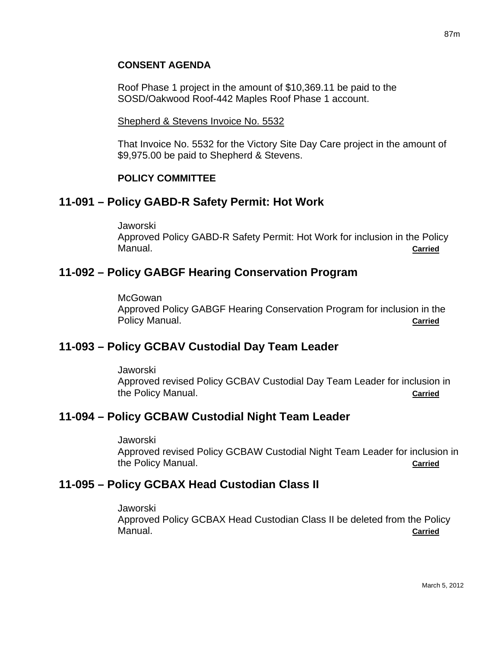### **CONSENT AGENDA**

Roof Phase 1 project in the amount of \$10,369.11 be paid to the SOSD/Oakwood Roof-442 Maples Roof Phase 1 account.

#### Shepherd & Stevens Invoice No. 5532

That Invoice No. 5532 for the Victory Site Day Care project in the amount of \$9,975.00 be paid to Shepherd & Stevens.

#### **POLICY COMMITTEE**

## **11-091 – Policy GABD-R Safety Permit: Hot Work**

Jaworski Approved Policy GABD-R Safety Permit: Hot Work for inclusion in the Policy Manual. **Carried**

# **11-092 – Policy GABGF Hearing Conservation Program**

**McGowan** Approved Policy GABGF Hearing Conservation Program for inclusion in the Policy Manual. **Carried**

# **11-093 – Policy GCBAV Custodial Day Team Leader**

Jaworski Approved revised Policy GCBAV Custodial Day Team Leader for inclusion in the Policy Manual. **Carried**

## **11-094 – Policy GCBAW Custodial Night Team Leader**

Jaworski Approved revised Policy GCBAW Custodial Night Team Leader for inclusion in the Policy Manual. **Carried**

# **11-095 – Policy GCBAX Head Custodian Class II**

Jaworski Approved Policy GCBAX Head Custodian Class II be deleted from the Policy Manual. **Carried**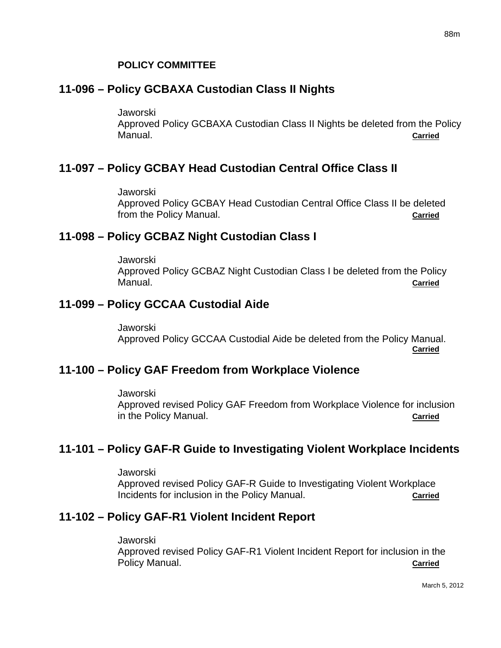# **11-096 – Policy GCBAXA Custodian Class II Nights**

Jaworski

Approved Policy GCBAXA Custodian Class II Nights be deleted from the Policy Manual. **Carried**

# **11-097 – Policy GCBAY Head Custodian Central Office Class II**

Jaworski

Approved Policy GCBAY Head Custodian Central Office Class II be deleted from the Policy Manual. **Carried**

# **11-098 – Policy GCBAZ Night Custodian Class I**

Jaworski Approved Policy GCBAZ Night Custodian Class I be deleted from the Policy Manual. **Carried**

# **11-099 – Policy GCCAA Custodial Aide**

Jaworski Approved Policy GCCAA Custodial Aide be deleted from the Policy Manual. **Carried**

# **11-100 – Policy GAF Freedom from Workplace Violence**

Jaworski Approved revised Policy GAF Freedom from Workplace Violence for inclusion in the Policy Manual. **Carried**

# **11-101 – Policy GAF-R Guide to Investigating Violent Workplace Incidents**

Jaworski

Approved revised Policy GAF-R Guide to Investigating Violent Workplace Incidents for inclusion in the Policy Manual. **Carried**

# **11-102 – Policy GAF-R1 Violent Incident Report**

#### Jaworski

Approved revised Policy GAF-R1 Violent Incident Report for inclusion in the Policy Manual. **Carried**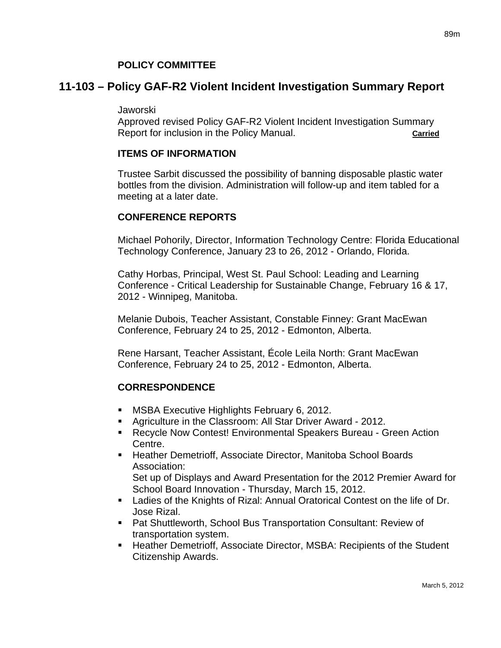#### **POLICY COMMITTEE**

## **11-103 – Policy GAF-R2 Violent Incident Investigation Summary Report**

#### Jaworski

Approved revised Policy GAF-R2 Violent Incident Investigation Summary Report for inclusion in the Policy Manual. **Carried**

#### **ITEMS OF INFORMATION**

Trustee Sarbit discussed the possibility of banning disposable plastic water bottles from the division. Administration will follow-up and item tabled for a meeting at a later date.

#### **CONFERENCE REPORTS**

Michael Pohorily, Director, Information Technology Centre: Florida Educational Technology Conference, January 23 to 26, 2012 - Orlando, Florida.

Cathy Horbas, Principal, West St. Paul School: Leading and Learning Conference - Critical Leadership for Sustainable Change, February 16 & 17, 2012 - Winnipeg, Manitoba.

Melanie Dubois, Teacher Assistant, Constable Finney: Grant MacEwan Conference, February 24 to 25, 2012 - Edmonton, Alberta.

Rene Harsant, Teacher Assistant, École Leila North: Grant MacEwan Conference, February 24 to 25, 2012 - Edmonton, Alberta.

### **CORRESPONDENCE**

- **MSBA Executive Highlights February 6, 2012.**
- Agriculture in the Classroom: All Star Driver Award 2012.
- Recycle Now Contest! Environmental Speakers Bureau Green Action Centre.
- Heather Demetrioff, Associate Director, Manitoba School Boards Association: Set up of Displays and Award Presentation for the 2012 Premier Award for School Board Innovation - Thursday, March 15, 2012.
- Ladies of the Knights of Rizal: Annual Oratorical Contest on the life of Dr. Jose Rizal.
- Pat Shuttleworth, School Bus Transportation Consultant: Review of transportation system.
- Heather Demetrioff, Associate Director, MSBA: Recipients of the Student Citizenship Awards.